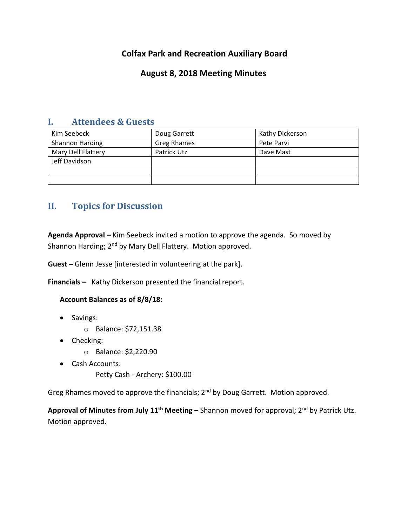# **Colfax Park and Recreation Auxiliary Board**

## **August 8, 2018 Meeting Minutes**

## **I. Attendees & Guests**

| Kim Seebeck        | Doug Garrett       | Kathy Dickerson |
|--------------------|--------------------|-----------------|
| Shannon Harding    | <b>Greg Rhames</b> | Pete Parvi      |
| Mary Dell Flattery | Patrick Utz        | Dave Mast       |
| Jeff Davidson      |                    |                 |
|                    |                    |                 |
|                    |                    |                 |

# **II. Topics for Discussion**

**Agenda Approval –** Kim Seebeck invited a motion to approve the agenda. So moved by Shannon Harding; 2<sup>nd</sup> by Mary Dell Flattery. Motion approved.

**Guest –** Glenn Jesse [interested in volunteering at the park].

**Financials –** Kathy Dickerson presented the financial report.

## **Account Balances as of 8/8/18:**

- Savings:
	- o Balance: \$72,151.38
- Checking:
	- o Balance: \$2,220.90
- Cash Accounts:
	- Petty Cash Archery: \$100.00

Greg Rhames moved to approve the financials; 2<sup>nd</sup> by Doug Garrett. Motion approved.

**Approval of Minutes from July 11th Meeting –** Shannon moved for approval; 2nd by Patrick Utz. Motion approved.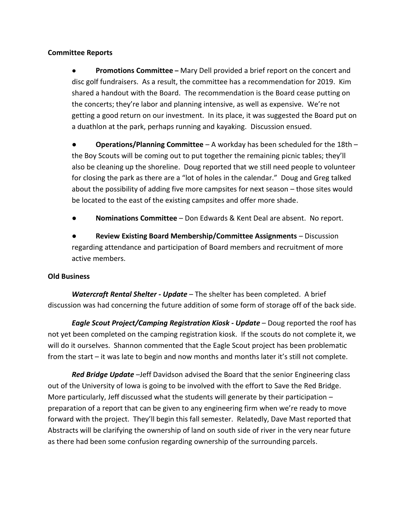## **Committee Reports**

● **Promotions Committee –** Mary Dell provided a brief report on the concert and disc golf fundraisers. As a result, the committee has a recommendation for 2019. Kim shared a handout with the Board. The recommendation is the Board cease putting on the concerts; they're labor and planning intensive, as well as expensive. We're not getting a good return on our investment. In its place, it was suggested the Board put on a duathlon at the park, perhaps running and kayaking. Discussion ensued.

● **Operations/Planning Committee** – A workday has been scheduled for the 18th – the Boy Scouts will be coming out to put together the remaining picnic tables; they'll also be cleaning up the shoreline. Doug reported that we still need people to volunteer for closing the park as there are a "lot of holes in the calendar." Doug and Greg talked about the possibility of adding five more campsites for next season – those sites would be located to the east of the existing campsites and offer more shade.

● **Nominations Committee** – Don Edwards & Kent Deal are absent. No report.

**Review Existing Board Membership/Committee Assignments** – Discussion regarding attendance and participation of Board members and recruitment of more active members.

### **Old Business**

*Watercraft Rental Shelter - Update* – The shelter has been completed. A brief discussion was had concerning the future addition of some form of storage off of the back side.

*Eagle Scout Project/Camping Registration Kiosk - Update* – Doug reported the roof has not yet been completed on the camping registration kiosk. If the scouts do not complete it, we will do it ourselves. Shannon commented that the Eagle Scout project has been problematic from the start – it was late to begin and now months and months later it's still not complete.

*Red Bridge Update* –Jeff Davidson advised the Board that the senior Engineering class out of the University of Iowa is going to be involved with the effort to Save the Red Bridge. More particularly, Jeff discussed what the students will generate by their participation – preparation of a report that can be given to any engineering firm when we're ready to move forward with the project. They'll begin this fall semester. Relatedly, Dave Mast reported that Abstracts will be clarifying the ownership of land on south side of river in the very near future as there had been some confusion regarding ownership of the surrounding parcels.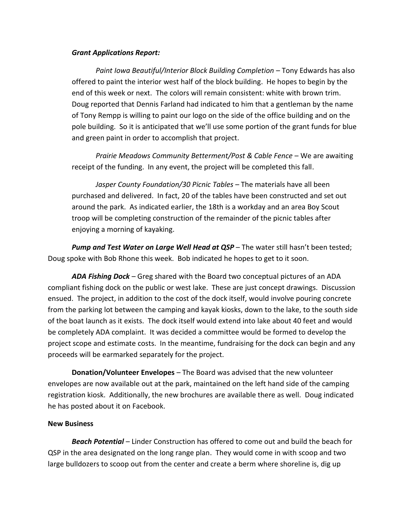#### *Grant Applications Report:*

*Paint Iowa Beautiful/Interior Block Building Completion* – Tony Edwards has also offered to paint the interior west half of the block building. He hopes to begin by the end of this week or next. The colors will remain consistent: white with brown trim. Doug reported that Dennis Farland had indicated to him that a gentleman by the name of Tony Rempp is willing to paint our logo on the side of the office building and on the pole building. So it is anticipated that we'll use some portion of the grant funds for blue and green paint in order to accomplish that project.

*Prairie Meadows Community Betterment/Post & Cable Fence* – We are awaiting receipt of the funding. In any event, the project will be completed this fall.

*Jasper County Foundation/30 Picnic Tables* – The materials have all been purchased and delivered. In fact, 20 of the tables have been constructed and set out around the park. As indicated earlier, the 18th is a workday and an area Boy Scout troop will be completing construction of the remainder of the picnic tables after enjoying a morning of kayaking.

*Pump and Test Water on Large Well Head at QSP* – The water still hasn't been tested; Doug spoke with Bob Rhone this week. Bob indicated he hopes to get to it soon.

*ADA Fishing Dock* – Greg shared with the Board two conceptual pictures of an ADA compliant fishing dock on the public or west lake. These are just concept drawings. Discussion ensued. The project, in addition to the cost of the dock itself, would involve pouring concrete from the parking lot between the camping and kayak kiosks, down to the lake, to the south side of the boat launch as it exists. The dock itself would extend into lake about 40 feet and would be completely ADA complaint. It was decided a committee would be formed to develop the project scope and estimate costs. In the meantime, fundraising for the dock can begin and any proceeds will be earmarked separately for the project.

**Donation/Volunteer Envelopes** – The Board was advised that the new volunteer envelopes are now available out at the park, maintained on the left hand side of the camping registration kiosk. Additionally, the new brochures are available there as well. Doug indicated he has posted about it on Facebook.

### **New Business**

*Beach Potential* – Linder Construction has offered to come out and build the beach for QSP in the area designated on the long range plan. They would come in with scoop and two large bulldozers to scoop out from the center and create a berm where shoreline is, dig up